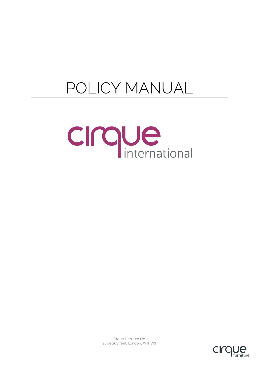# POLICY MANUAL





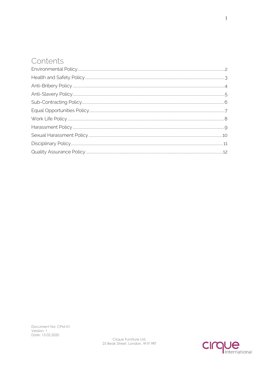#### Contents

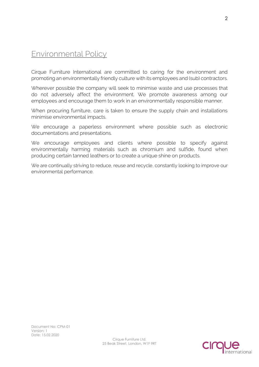# <span id="page-2-0"></span>Environmental Policy

Cirque Furniture International are committed to caring for the environment and promoting an environmentally friendly culture with its employees and (sub) contractors.

Wherever possible the company will seek to minimise waste and use processes that do not adversely affect the environment. We promote awareness among our employees and encourage them to work in an environmentally responsible manner.

When procuring furniture, care is taken to ensure the supply chain and installations minimise environmental impacts.

We encourage a paperless environment where possible such as electronic documentations and presentations.

We encourage employees and clients where possible to specify against environmentally harming materials such as chromium and sulfide, found when producing certain tanned leathers or to create a unique shine on products.

We are continually striving to reduce, reuse and recycle, constantly looking to improve our environmental performance.

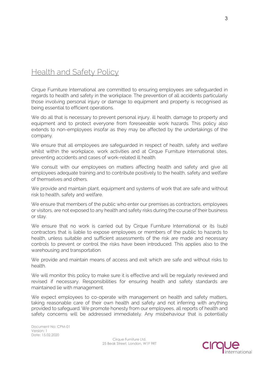# <span id="page-3-0"></span>**Health and Safety Policy**

Cirque Furniture International are committed to ensuring employees are safeguarded in regards to health and safety in the workplace. The prevention of all accidents particularly those involving personal injury or damage to equipment and property is recognised as being essential to efficient operations.

We do all that is necessary to prevent personal injury, ill health, damage to property and equipment and to protect everyone from foreseeable work hazards. This policy also extends to non-employees insofar as they may be affected by the undertakings of the company.

We ensure that all employees are safeguarded in respect of health, safety and welfare whilst within the workplace, work activities and at Cirque Furniture International sites, preventing accidents and cases of work-related ill health.

We consult with our employees on matters affecting health and safety and give all employees adequate training and to contribute positively to the health, safety and welfare of themselves and others.

We provide and maintain plant, equipment and systems of work that are safe and without risk to health, safety and welfare.

We ensure that members of the public who enter our premises as contractors, employees or visitors, are not exposed to any health and safety risks during the course of their business or stay.

We ensure that no work is carried out by Cirque Furniture International or its (sub) contractors that is liable to expose employees or members of the public to hazards to health, unless suitable and sufficient assessments of the risk are made and necessary controls to prevent or control the risks have been introduced. This applies also to the warehousing and transportation.

We provide and maintain means of access and exit which are safe and without risks to health.

We will monitor this policy to make sure it is effective and will be regularly reviewed and revised if necessary. Responsibilities for ensuring health and safety standards are maintained lie with management.

We expect employees to co-operate with management on health and safety matters, taking reasonable care of their own health and safety and not inferring with anything provided to safeguard. We promote honesty from our employees, all reports of health and safety concerns will be addressed immediately. Any misbehaviour that is potentially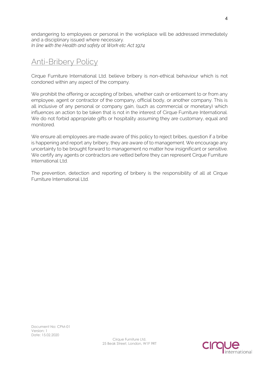endangering to employees or personal in the workplace will be addressed immediately and a disciplinary issued where necessary. *In line with the Health and safety at Work etc Act 1974*

# <span id="page-4-0"></span>Anti-Bribery Policy

Cirque Furniture International Ltd. believe bribery is non-ethical behaviour which is not condoned within any aspect of the company.

We prohibit the offering or accepting of bribes, whether cash or enticement to or from any employee, agent or contractor of the company, official body, or another company. This is all inclusive of any personal or company gain, (such as commercial or monetary) which influences an action to be taken that is not in the interest of Cirque Furniture International. We do not forbid appropriate gifts or hospitality assuming they are customary, equal and monitored.

We ensure all employees are made aware of this policy to reject bribes, question if a bribe is happening and report any bribery, they are aware of to management. We encourage any uncertainty to be brought forward to management no matter how insignificant or sensitive. We certify any agents or contractors are vetted before they can represent Cirque Furniture International Ltd.

The prevention, detection and reporting of bribery is the responsibility of all at Cirque Furniture International Ltd.

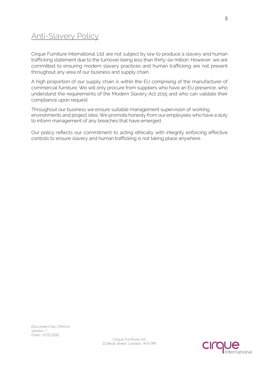### <span id="page-5-0"></span>Anti-Slavery Policy

Cirque Furniture International Ltd. are not subject by law to produce a slavery and human trafficking statement due to the turnover being less than thirty-six million. However, we are committed to ensuring modern slavery practices and human trafficking are not present throughout any area of our business and supply chain.

A high proportion of our supply chain is within the EU comprising of the manufacturer of commercial furniture. We will only procure from suppliers who have an EU presence, who understand the requirements of the Modern Slavery Act 2015 and who can validate their compliance upon request.

Throughout our business we ensure suitable management supervision of working environments and project sites. We promote honesty from our employees who have a duty to inform management of any breaches that have emerged.

Our policy reflects our commitment to acting ethically with integrity enforcing effective controls to ensure slavery and human trafficking is not taking place anywhere.

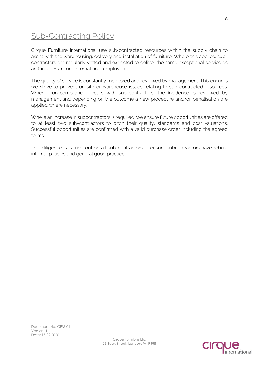# <span id="page-6-0"></span>Sub-Contracting Policy

Cirque Furniture International use sub‐contracted resources within the supply chain to assist with the warehousing, delivery and installation of furniture. Where this applies, subcontractors are regularly vetted and expected to deliver the same exceptional service as an Cirque Furniture International employee.

The quality of service is constantly monitored and reviewed by management. This ensures we strive to prevent on-site or warehouse issues relating to sub-contracted resources. Where non-compliance occurs with sub-contractors, the incidence is reviewed by management and depending on the outcome a new procedure and/or penalisation are applied where necessary.

Where an increase in subcontractors is required, we ensure future opportunities are offered to at least two sub-contractors to pitch their quality, standards and cost valuations. Successful opportunities are confirmed with a valid purchase order including the agreed terms.

Due diligence is carried out on all sub-contractors to ensure subcontractors have robust internal policies and general good practice.

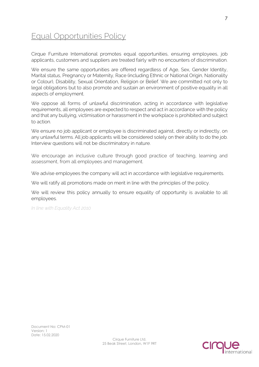# <span id="page-7-0"></span>Equal Opportunities Policy

Cirque Furniture International promotes equal opportunities, ensuring employees, job applicants, customers and suppliers are treated fairly with no encounters of discrimination.

We ensure the same opportunities are offered regardless of Age, Sex, Gender Identity, Marital status, Pregnancy or Maternity, Race (including Ethnic or National Origin, Nationality or Colour), Disability, Sexual Orientation, Religion or Belief. We are committed not only to legal obligations but to also promote and sustain an environment of positive equality in all aspects of employment.

We oppose all forms of unlawful discrimination, acting in accordance with legislative requirements, all employees are expected to respect and act in accordance with the policy and that any bullying, victimisation or harassment in the workplace is prohibited and subject to action.

We ensure no job applicant or employee is discriminated against, directly or indirectly, on any unlawful terms. All job applicants will be considered solely on their ability to do the job. Interview questions will not be discriminatory in nature.

We encourage an inclusive culture through good practice of teaching, learning and assessment, from all employees and management.

We advise employees the company will act in accordance with legislative requirements.

We will ratify all promotions made on merit in line with the principles of the policy.

We will review this policy annually to ensure equality of opportunity is available to all employees.

*In line with Equality Act 2010*

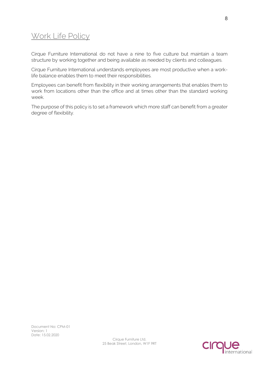#### <span id="page-8-0"></span>Work Life Policy

Cirque Furniture International do not have a nine to five culture but maintain a team structure by working together and being available as needed by clients and colleagues.

Cirque Furniture International understands employees are most productive when a worklife balance enables them to meet their responsibilities.

Employees can benefit from flexibility in their working arrangements that enables them to work from locations other than the office and at times other than the standard working week.

The purpose of this policy is to set a framework which more staff can benefit from a greater degree of flexibility.

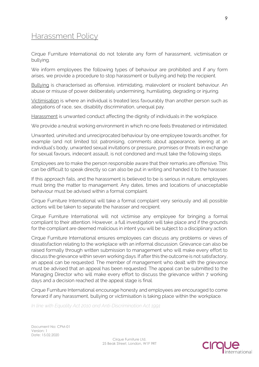#### <span id="page-9-0"></span>Harassment Policy

Cirque Furniture International do not tolerate any form of harassment, victimisation or bullying.

We inform employees the following types of behaviour are prohibited and if any form arises, we provide a procedure to stop harassment or bullying and help the recipient.

Bullying is characterised as offensive, intimidating, malevolent or insolent behaviour. An abuse or misuse of power deliberately undermining, humiliating, degrading or injuring.

Victimisation is where an individual is treated less favourably than another person such as allegations of race, sex, disability discrimination, unequal pay.

Harassment is unwanted conduct affecting the dignity of individuals in the workplace.

We provide a neutral working environment in which no one feels threatened or intimidated.

Unwanted, uninvited and unreciprocated behaviour by one employee towards another, for example (and not limited to); patronising, comments about appearance, leering at an individual's body, unwanted sexual invitations or pressure, promises or threats in exchange for sexual favours, indecent assault, is not condoned and must take the following steps.

Employees are to make the person responsible aware that their remarks are offensive. This can be difficult to speak directly so can also be put in writing and handed it to the harasser.

If this approach fails, and the harassment is believed to be is serious in nature, employees must bring the matter to management. Any dates, times and locations of unacceptable behaviour must be advised within a formal complaint.

Cirque Furniture International will take a formal complaint very seriously and all possible actions will be taken to separate the harasser and recipient.

Cirque Furniture International will not victimise any employee for bringing a formal compliant to their attention. However, a full investigation will take place and if the grounds for the compliant are deemed malicious in intent you will be subject to a disciplinary action.

Cirque Furniture International ensures employees can discuss any problems or views of dissatisfaction relating to the workplace with an informal discussion. Grievance can also be raised formally through written submission to management who will make every effort to discuss the grievance within seven working days. If after this the outcome is not satisfactory, an appeal can be requested. The member of management who dealt with the grievance must be advised that an appeal has been requested. The appeal can be submitted to the Managing Director who will make every effort to discuss the grievance within 7 working days and a decision reached at the appeal stage is final.

Cirque Furniture International encourage honesty and employees are encouraged to come forward if any harassment, bullying or victimisation is taking place within the workplace.

*In line with Equality Act 2010 and Anti-Discrimination Act 1991*

Document No: CPM-01 Version: 1 Date: 15.02.2020

Cirque Furniture Ltd. 25 Beak Street, London, W1F 9RT

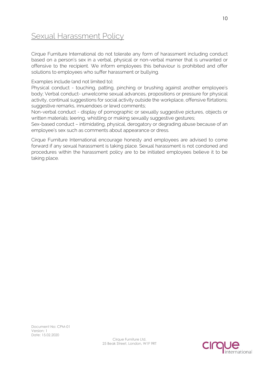# <span id="page-10-0"></span>**Sexual Harassment Policy**

Cirque Furniture International do not tolerate any form of harassment including conduct based on a person's sex in a verbal, physical or non-verbal manner that is unwanted or offensive to the recipient. We inform employees this behaviour is prohibited and offer solutions to employees who suffer harassment or bullying.

#### Examples include (and not limited to);

Physical conduct - touching, patting, pinching or brushing against another employee's body; Verbal conduct- unwelcome sexual advances, propositions or pressure for physical activity, continual suggestions for social activity outside the workplace, offensive flirtations; suggestive remarks, innuendoes or lewd comments;

Non-verbal conduct - display of pornographic or sexually suggestive pictures, objects or written materials; leering, whistling or making sexually suggestive gestures;

Sex-based conduct – intimidating, physical, derogatory or degrading abuse because of an employee's sex such as comments about appearance or dress.

Cirque Furniture International encourage honesty and employees are advised to come forward if any sexual harassment is taking place. Sexual harassment is not condoned and procedures within the harassment policy are to be initiated employees believe it to be taking place.

Document No: CPM-01 Version: 1 Date: 15.02.2020

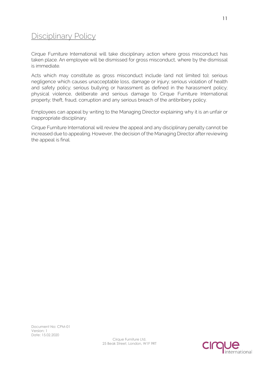### <span id="page-11-0"></span>Disciplinary Policy

Cirque Furniture International will take disciplinary action where gross misconduct has taken place. An employee will be dismissed for gross misconduct, where by the dismissal is immediate.

Acts which may constitute as gross misconduct include (and not limited to); serious negligence which causes unacceptable loss, damage or injury; serious violation of health and safety policy; serious bullying or harassment as defined in the harassment policy; physical violence, deliberate and serious damage to Cirque Furniture International property; theft, fraud, corruption and any serious breach of the antibribery policy.

Employees can appeal by writing to the Managing Director explaining why it is an unfair or inappropriate disciplinary.

<span id="page-11-1"></span>Cirque Furniture International will review the appeal and any disciplinary penalty cannot be increased due to appealing. However, the decision of the Managing Director after reviewing the appeal is final.